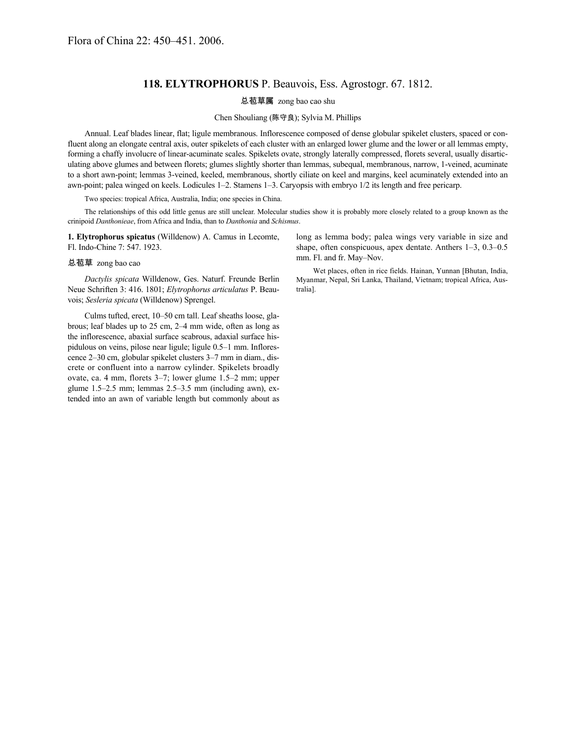## **118. ELYTROPHORUS** P. Beauvois, Ess. Agrostogr. 67. 1812.

总苞草属 zong bao cao shu

Chen Shouliang (陈守良); Sylvia M. Phillips

Annual. Leaf blades linear, flat; ligule membranous. Inflorescence composed of dense globular spikelet clusters, spaced or confluent along an elongate central axis, outer spikelets of each cluster with an enlarged lower glume and the lower or all lemmas empty, forming a chaffy involucre of linear-acuminate scales. Spikelets ovate, strongly laterally compressed, florets several, usually disarticulating above glumes and between florets; glumes slightly shorter than lemmas, subequal, membranous, narrow, 1-veined, acuminate to a short awn-point; lemmas 3-veined, keeled, membranous, shortly ciliate on keel and margins, keel acuminately extended into an awn-point; palea winged on keels. Lodicules 1–2. Stamens 1–3. Caryopsis with embryo 1/2 its length and free pericarp.

Two species: tropical Africa, Australia, India; one species in China.

The relationships of this odd little genus are still unclear. Molecular studies show it is probably more closely related to a group known as the crinipoid *Danthonieae*, from Africa and India, than to *Danthonia* and *Schismus*.

**1. Elytrophorus spicatus** (Willdenow) A. Camus in Lecomte, Fl. Indo-Chine 7: 547. 1923.

## 总苞草 zong bao cao

*Dactylis spicata* Willdenow, Ges. Naturf. Freunde Berlin Neue Schriften 3: 416. 1801; *Elytrophorus articulatus* P. Beauvois; *Sesleria spicata* (Willdenow) Sprengel.

Culms tufted, erect, 10–50 cm tall. Leaf sheaths loose, glabrous; leaf blades up to 25 cm, 2–4 mm wide, often as long as the inflorescence, abaxial surface scabrous, adaxial surface hispidulous on veins, pilose near ligule; ligule 0.5–1 mm. Inflorescence 2–30 cm, globular spikelet clusters 3–7 mm in diam., discrete or confluent into a narrow cylinder. Spikelets broadly ovate, ca. 4 mm, florets 3–7; lower glume 1.5–2 mm; upper glume 1.5–2.5 mm; lemmas 2.5–3.5 mm (including awn), extended into an awn of variable length but commonly about as long as lemma body; palea wings very variable in size and shape, often conspicuous, apex dentate. Anthers 1–3, 0.3–0.5 mm. Fl. and fr. May–Nov.

Wet places, often in rice fields. Hainan, Yunnan [Bhutan, India, Myanmar, Nepal, Sri Lanka, Thailand, Vietnam; tropical Africa, Australia].